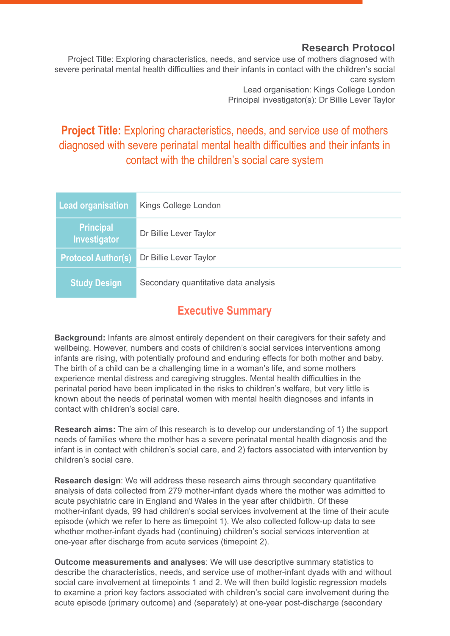#### **Research Protocol**

Project Title: Exploring characteristics, needs, and service use of mothers diagnosed with severe perinatal mental health difficulties and their infants in contact with the children's social care system Lead organisation: Kings College London

Principal investigator(s): Dr Billie Lever Taylor

## <span id="page-0-0"></span>**Project Title:** Exploring characteristics, needs, and service use of mothers diagnosed with severe perinatal mental health difficulties and their infants in contact with the children's social care system

| <b>Lead organisation</b>         | Kings College London                 |
|----------------------------------|--------------------------------------|
| <b>Principal</b><br>Investigator | Dr Billie Lever Taylor               |
| <b>Protocol Author(s)</b>        | Dr Billie Lever Taylor               |
| <b>Study Design</b>              | Secondary quantitative data analysis |

## **Executive Summary**

<span id="page-0-1"></span>**Background:** Infants are almost entirely dependent on their caregivers for their safety and wellbeing. However, numbers and costs of children's social services interventions among infants are rising, with potentially profound and enduring effects for both mother and baby. The birth of a child can be a challenging time in a woman's life, and some mothers experience mental distress and caregiving struggles. Mental health difficulties in the perinatal period have been implicated in the risks to children's welfare, but very little is known about the needs of perinatal women with mental health diagnoses and infants in contact with children's social care.

**Research aims:** The aim of this research is to develop our understanding of 1) the support needs of families where the mother has a severe perinatal mental health diagnosis and the infant is in contact with children's social care, and 2) factors associated with intervention by children's social care.

**Research design**: We will address these research aims through secondary quantitative analysis of data collected from 279 mother-infant dyads where the mother was admitted to acute psychiatric care in England and Wales in the year after childbirth. Of these mother-infant dyads, 99 had children's social services involvement at the time of their acute episode (which we refer to here as timepoint 1). We also collected follow-up data to see whether mother-infant dyads had (continuing) children's social services intervention at one-year after discharge from acute services (timepoint 2).

**Outcome measurements and analyses**: We will use descriptive summary statistics to describe the characteristics, needs, and service use of mother-infant dyads with and without social care involvement at timepoints 1 and 2. We will then build logistic regression models to examine a priori key factors associated with children's social care involvement during the acute episode (primary outcome) and (separately) at one-year post-discharge (secondary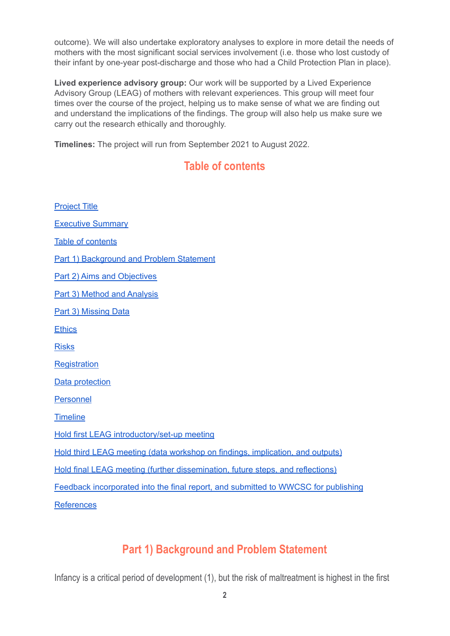outcome). We will also undertake exploratory analyses to explore in more detail the needs of mothers with the most significant social services involvement (i.e. those who lost custody of their infant by one-year post-discharge and those who had a Child Protection Plan in place).

**Lived experience advisory group:** Our work will be supported by a Lived Experience Advisory Group (LEAG) of mothers with relevant experiences. This group will meet four times over the course of the project, helping us to make sense of what we are finding out and understand the implications of the findings. The group will also help us make sure we carry out the research ethically and thoroughly.

<span id="page-1-0"></span>**Timelines:** The project will run from September 2021 to August 2022.

## **Table of contents**

[Project](#page-0-0) Title [Executive](#page-0-1) Summary Table of [contents](#page-1-0) Part 1) [Background](#page-1-1) and Problem Statement Part 2) Aims and [Objectives](#page-2-0) Part 3) Method and [Analysis](#page-3-0) Part 3) [Missing](#page-5-0) Data **[Ethics](#page-5-1)** [Risks](#page-5-2) **[Registration](#page-6-0)** Data [protection](#page-6-1) [Personnel](#page-6-2) **[Timeline](#page-7-0)** Hold first LEAG [introductory/set-up](#page-7-1) meeting Hold third LEAG meeting (data workshop on findings, [implication,](#page-7-2) and outputs) Hold final LEAG meeting (further [dissemination,](#page-7-3) future steps, and reflections) Feedback [incorporated](#page-7-4) into the final report, and submitted to WWCSC for publishing [References](#page-8-0)

## **Part 1) Background and Problem Statement**

<span id="page-1-1"></span>Infancy is a critical period of development (1), but the risk of maltreatment is highest in the first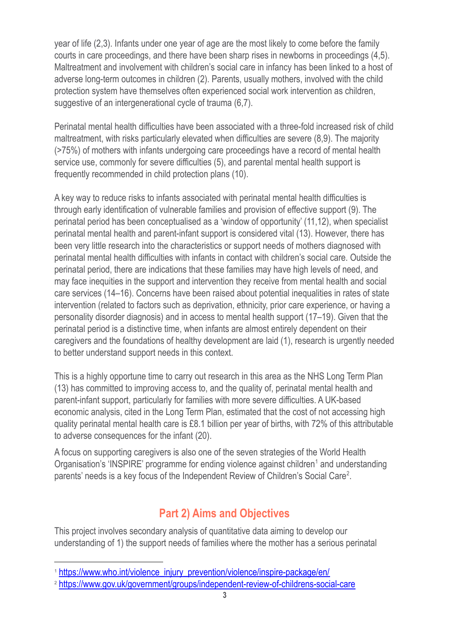year of life (2,3). Infants under one year of age are the most likely to come before the family courts in care proceedings, and there have been sharp rises in newborns in proceedings (4,5). Maltreatment and involvement with children's social care in infancy has been linked to a host of adverse long-term outcomes in children (2). Parents, usually mothers, involved with the child protection system have themselves often experienced social work intervention as children, suggestive of an intergenerational cycle of trauma (6,7).

Perinatal mental health difficulties have been associated with a three-fold increased risk of child maltreatment, with risks particularly elevated when difficulties are severe (8,9). The majority (>75%) of mothers with infants undergoing care proceedings have a record of mental health service use, commonly for severe difficulties (5), and parental mental health support is frequently recommended in child protection plans (10).

A key way to reduce risks to infants associated with perinatal mental health difficulties is through early identification of vulnerable families and provision of effective support (9). The perinatal period has been conceptualised as a 'window of opportunity' (11,12), when specialist perinatal mental health and parent-infant support is considered vital (13). However, there has been very little research into the characteristics or support needs of mothers diagnosed with perinatal mental health difficulties with infants in contact with children's social care. Outside the perinatal period, there are indications that these families may have high levels of need, and may face inequities in the support and intervention they receive from mental health and social care services (14–16). Concerns have been raised about potential inequalities in rates of state intervention (related to factors such as deprivation, ethnicity, prior care experience, or having a personality disorder diagnosis) and in access to mental health support (17–19). Given that the perinatal period is a distinctive time, when infants are almost entirely dependent on their caregivers and the foundations of healthy development are laid (1), research is urgently needed to better understand support needs in this context.

This is a highly opportune time to carry out research in this area as the NHS Long Term Plan (13) has committed to improving access to, and the quality of, perinatal mental health and parent-infant support, particularly for families with more severe difficulties. A UK-based economic analysis, cited in the Long Term Plan, estimated that the cost of not accessing high quality perinatal mental health care is £8.1 billion per year of births, with 72% of this attributable to adverse consequences for the infant (20).

A focus on supporting caregivers is also one of the seven strategies of the World Health Organisation's 'INSPIRE' programme for ending violence against children<sup>1</sup> and understanding parents' needs is a key focus of the Independent Review of Children's Social Care<sup>2</sup>.

## **Part 2) Aims and Objectives**

<span id="page-2-0"></span>This project involves secondary analysis of quantitative data aiming to develop our understanding of 1) the support needs of families where the mother has a serious perinatal

<sup>&</sup>lt;sup>1</sup> [https://www.who.int/violence\\_injury\\_prevention/violence/inspire-package/en/](https://www.who.int/violence_injury_prevention/violence/inspire-package/en/)

<sup>2</sup> <https://www.gov.uk/government/groups/independent-review-of-childrens-social-care>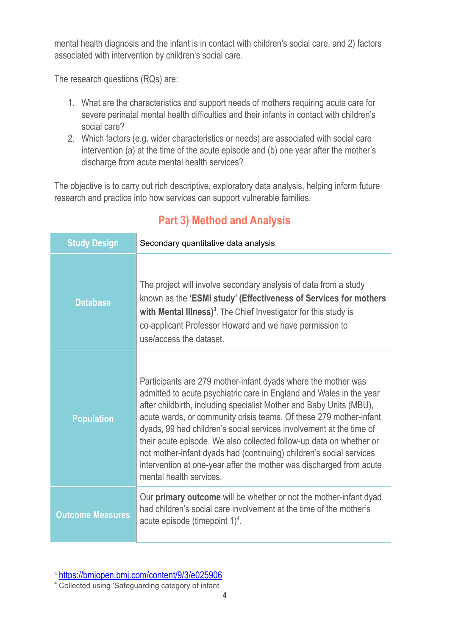mental health diagnosis and the infant is in contact with children's social care, and 2) factors associated with intervention by children's social care.

The research questions (RQs) are:

- 1. What are the characteristics and support needs of mothers requiring acute care for severe perinatal mental health difficulties and their infants in contact with children's social care?
- 2. Which factors (e.g. wider characteristics or needs) are associated with social care intervention (a) at the time of the acute episode and (b) one year after the mother's discharge from acute mental health services?

<span id="page-3-0"></span>The objective is to carry out rich descriptive, exploratory data analysis, helping inform future research and practice into how services can support vulnerable families.

| <b>Study Design</b>     | Secondary quantitative data analysis                                                                                                                                                                                                                                                                                                                                                                                                                                                                                                                                                                     |  |
|-------------------------|----------------------------------------------------------------------------------------------------------------------------------------------------------------------------------------------------------------------------------------------------------------------------------------------------------------------------------------------------------------------------------------------------------------------------------------------------------------------------------------------------------------------------------------------------------------------------------------------------------|--|
| <b>Database</b>         | The project will involve secondary analysis of data from a study<br>known as the 'ESMI study' (Effectiveness of Services for mothers<br>with Mental Illness) <sup>3</sup> . The Chief Investigator for this study is<br>co-applicant Professor Howard and we have permission to<br>use/access the dataset.                                                                                                                                                                                                                                                                                               |  |
| <b>Population</b>       | Participants are 279 mother-infant dyads where the mother was<br>admitted to acute psychiatric care in England and Wales in the year<br>after childbirth, including specialist Mother and Baby Units (MBU),<br>acute wards, or community crisis teams. Of these 279 mother-infant<br>dyads, 99 had children's social services involvement at the time of<br>their acute episode. We also collected follow-up data on whether or<br>not mother-infant dyads had (continuing) children's social services<br>intervention at one-year after the mother was discharged from acute<br>mental health services. |  |
| <b>Outcome Measures</b> | Our primary outcome will be whether or not the mother-infant dyad<br>had children's social care involvement at the time of the mother's<br>acute episode (timepoint $1)^4$ .                                                                                                                                                                                                                                                                                                                                                                                                                             |  |

# **Part 3) Method and Analysis**

<sup>3</sup> [https://bmjopen.bmj.com/content/9/3/e025906](https://bmjopen.bmj.com/content/9/3/e025906c)

<sup>4</sup> Collected using 'Safeguarding category of infant'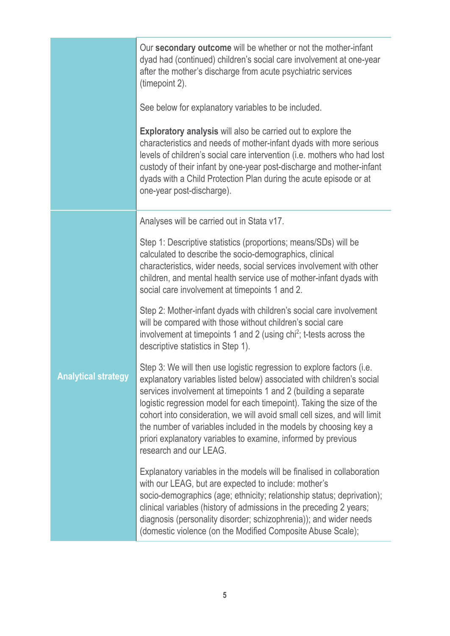|                            | Our secondary outcome will be whether or not the mother-infant<br>dyad had (continued) children's social care involvement at one-year<br>after the mother's discharge from acute psychiatric services<br>(timepoint 2).                                                                                                                                                                                                                                                                                                                |  |
|----------------------------|----------------------------------------------------------------------------------------------------------------------------------------------------------------------------------------------------------------------------------------------------------------------------------------------------------------------------------------------------------------------------------------------------------------------------------------------------------------------------------------------------------------------------------------|--|
|                            | See below for explanatory variables to be included.                                                                                                                                                                                                                                                                                                                                                                                                                                                                                    |  |
|                            | <b>Exploratory analysis</b> will also be carried out to explore the<br>characteristics and needs of mother-infant dyads with more serious<br>levels of children's social care intervention (i.e. mothers who had lost<br>custody of their infant by one-year post-discharge and mother-infant<br>dyads with a Child Protection Plan during the acute episode or at<br>one-year post-discharge).                                                                                                                                        |  |
|                            | Analyses will be carried out in Stata v17.                                                                                                                                                                                                                                                                                                                                                                                                                                                                                             |  |
|                            | Step 1: Descriptive statistics (proportions; means/SDs) will be<br>calculated to describe the socio-demographics, clinical<br>characteristics, wider needs, social services involvement with other<br>children, and mental health service use of mother-infant dyads with<br>social care involvement at timepoints 1 and 2.                                                                                                                                                                                                            |  |
|                            | Step 2: Mother-infant dyads with children's social care involvement<br>will be compared with those without children's social care<br>involvement at timepoints 1 and 2 (using $\text{chi}^2$ ; t-tests across the<br>descriptive statistics in Step 1).                                                                                                                                                                                                                                                                                |  |
| <b>Analytical strategy</b> | Step 3: We will then use logistic regression to explore factors (i.e.<br>explanatory variables listed below) associated with children's social<br>services involvement at timepoints 1 and 2 (building a separate<br>logistic regression model for each timepoint). Taking the size of the<br>cohort into consideration, we will avoid small cell sizes, and will limit<br>the number of variables included in the models by choosing key a<br>priori explanatory variables to examine, informed by previous<br>research and our LEAG. |  |
|                            | Explanatory variables in the models will be finalised in collaboration<br>with our LEAG, but are expected to include: mother's<br>socio-demographics (age; ethnicity; relationship status; deprivation);<br>clinical variables (history of admissions in the preceding 2 years;<br>diagnosis (personality disorder; schizophrenia)); and wider needs<br>(domestic violence (on the Modified Composite Abuse Scale);                                                                                                                    |  |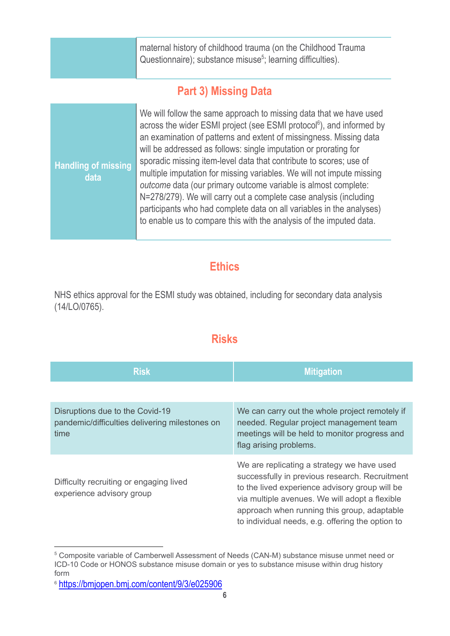maternal history of childhood trauma (on the Childhood Trauma Questionnaire); substance misuse<sup>5</sup>; learning difficulties).

## **Part 3) Missing Data**

<span id="page-5-0"></span>

| <b>Handling of missing</b><br>data | We will follow the same approach to missing data that we have used<br>across the wider ESMI project (see ESMI protocol <sup>6</sup> ), and informed by<br>an examination of patterns and extent of missingness. Missing data<br>will be addressed as follows: single imputation or prorating for<br>sporadic missing item-level data that contribute to scores; use of<br>multiple imputation for missing variables. We will not impute missing<br>outcome data (our primary outcome variable is almost complete:<br>N=278/279). We will carry out a complete case analysis (including<br>participants who had complete data on all variables in the analyses)<br>to enable us to compare this with the analysis of the imputed data. |
|------------------------------------|---------------------------------------------------------------------------------------------------------------------------------------------------------------------------------------------------------------------------------------------------------------------------------------------------------------------------------------------------------------------------------------------------------------------------------------------------------------------------------------------------------------------------------------------------------------------------------------------------------------------------------------------------------------------------------------------------------------------------------------|
|------------------------------------|---------------------------------------------------------------------------------------------------------------------------------------------------------------------------------------------------------------------------------------------------------------------------------------------------------------------------------------------------------------------------------------------------------------------------------------------------------------------------------------------------------------------------------------------------------------------------------------------------------------------------------------------------------------------------------------------------------------------------------------|

### **Ethics**

<span id="page-5-2"></span><span id="page-5-1"></span>NHS ethics approval for the ESMI study was obtained, including for secondary data analysis (14/LO/0765).

### **Risks**

| <b>Risk</b>                                                                               | <b>Mitigation</b>                                                                                                                                                                                                                                                                                   |  |
|-------------------------------------------------------------------------------------------|-----------------------------------------------------------------------------------------------------------------------------------------------------------------------------------------------------------------------------------------------------------------------------------------------------|--|
|                                                                                           |                                                                                                                                                                                                                                                                                                     |  |
| Disruptions due to the Covid-19<br>pandemic/difficulties delivering milestones on<br>time | We can carry out the whole project remotely if<br>needed. Regular project management team<br>meetings will be held to monitor progress and<br>flag arising problems.                                                                                                                                |  |
| Difficulty recruiting or engaging lived<br>experience advisory group                      | We are replicating a strategy we have used<br>successfully in previous research. Recruitment<br>to the lived experience advisory group will be<br>via multiple avenues. We will adopt a flexible<br>approach when running this group, adaptable<br>to individual needs, e.g. offering the option to |  |

<sup>5</sup> Composite variable of Camberwell Assessment of Needs (CAN-M) substance misuse unmet need or ICD-10 Code or HONOS substance misuse domain or yes to substance misuse within drug history form

<sup>6</sup> [https://bmjopen.bmj.com/content/9/3/e025906](https://bmjopen.bmj.com/content/9/3/e025906c)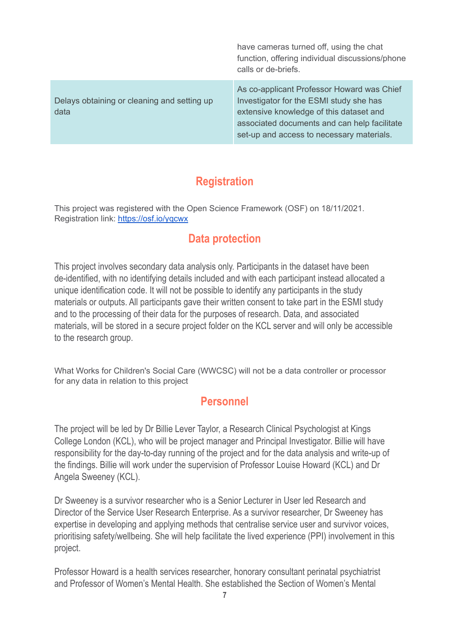|                                                     | have cameras turned off, using the chat<br>function, offering individual discussions/phone<br>calls or de-briefs.                                                                                                             |
|-----------------------------------------------------|-------------------------------------------------------------------------------------------------------------------------------------------------------------------------------------------------------------------------------|
| Delays obtaining or cleaning and setting up<br>data | As co-applicant Professor Howard was Chief<br>Investigator for the ESMI study she has<br>extensive knowledge of this dataset and<br>associated documents and can help facilitate<br>set-up and access to necessary materials. |

## **Registration**

<span id="page-6-1"></span><span id="page-6-0"></span>This project was registered with the Open Science Framework (OSF) on 18/11/2021. Registration link: <https://osf.io/yqcwx>

## **Data protection**

This project involves secondary data analysis only. Participants in the dataset have been de-identified, with no identifying details included and with each participant instead allocated a unique identification code. It will not be possible to identify any participants in the study materials or outputs. All participants gave their written consent to take part in the ESMI study and to the processing of their data for the purposes of research. Data, and associated materials, will be stored in a secure project folder on the KCL server and will only be accessible to the research group.

<span id="page-6-2"></span>What Works for Children's Social Care (WWCSC) will not be a data controller or processor for any data in relation to this project

### **Personnel**

The project will be led by Dr Billie Lever Taylor, a Research Clinical Psychologist at Kings College London (KCL), who will be project manager and Principal Investigator. Billie will have responsibility for the day-to-day running of the project and for the data analysis and write-up of the findings. Billie will work under the supervision of Professor Louise Howard (KCL) and Dr Angela Sweeney (KCL).

Dr Sweeney is a survivor researcher who is a Senior Lecturer in User led Research and Director of the Service User Research Enterprise. As a survivor researcher, Dr Sweeney has expertise in developing and applying methods that centralise service user and survivor voices, prioritising safety/wellbeing. She will help facilitate the lived experience (PPI) involvement in this project.

Professor Howard is a health services researcher, honorary consultant perinatal psychiatrist and Professor of Women's Mental Health. She established the Section of Women's Mental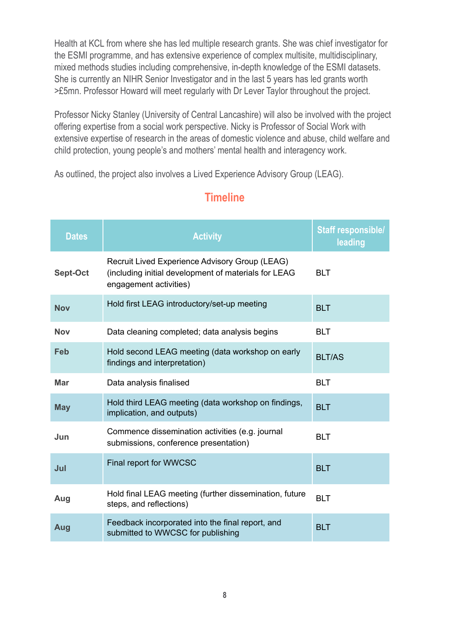Health at KCL from where she has led multiple research grants. She was chief investigator for the ESMI programme, and has extensive experience of complex multisite, multidisciplinary, mixed methods studies including comprehensive, in-depth knowledge of the ESMI datasets. She is currently an NIHR Senior Investigator and in the last 5 years has led grants worth >£5mn. Professor Howard will meet regularly with Dr Lever Taylor throughout the project.

Professor Nicky Stanley (University of Central Lancashire) will also be involved with the project offering expertise from a social work perspective. Nicky is Professor of Social Work with extensive expertise of research in the areas of domestic violence and abuse, child welfare and child protection, young people's and mothers' mental health and interagency work.

<span id="page-7-0"></span>As outlined, the project also involves a Lived Experience Advisory Group (LEAG).

<span id="page-7-4"></span><span id="page-7-3"></span><span id="page-7-2"></span><span id="page-7-1"></span>

| <b>Dates</b> | <b>Activity</b>                                                                                                                  | <b>Staff responsible/</b><br>leading |
|--------------|----------------------------------------------------------------------------------------------------------------------------------|--------------------------------------|
| Sept-Oct     | Recruit Lived Experience Advisory Group (LEAG)<br>(including initial development of materials for LEAG<br>engagement activities) | <b>BLT</b>                           |
| <b>Nov</b>   | Hold first LEAG introductory/set-up meeting                                                                                      | <b>BLT</b>                           |
| <b>Nov</b>   | Data cleaning completed; data analysis begins                                                                                    | <b>BLT</b>                           |
| Feb          | Hold second LEAG meeting (data workshop on early<br>findings and interpretation)                                                 | <b>BLT/AS</b>                        |
| <b>Mar</b>   | Data analysis finalised                                                                                                          | <b>BLT</b>                           |
| <b>May</b>   | Hold third LEAG meeting (data workshop on findings,<br>implication, and outputs)                                                 | <b>BLT</b>                           |
| Jun          | Commence dissemination activities (e.g. journal<br>submissions, conference presentation)                                         | <b>BLT</b>                           |
| Jul          | Final report for WWCSC                                                                                                           | <b>BLT</b>                           |
| Aug          | Hold final LEAG meeting (further dissemination, future<br>steps, and reflections)                                                | <b>BLT</b>                           |
| Aug          | Feedback incorporated into the final report, and<br>submitted to WWCSC for publishing                                            | <b>BLT</b>                           |

## **Timeline**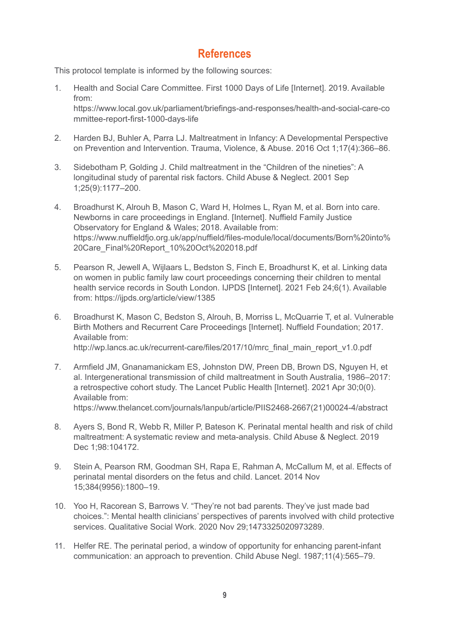#### **References**

<span id="page-8-0"></span>This protocol template is informed by the following sources:

- 1. Health and Social Care Committee. First 1000 Days of Life [Internet]. 2019. Available from: https://www.local.gov.uk/parliament/briefings-and-responses/health-and-social-care-co mmittee-report-first-1000-days-life
- 2. Harden BJ, Buhler A, Parra LJ. Maltreatment in Infancy: A Developmental Perspective on Prevention and Intervention. Trauma, Violence, & Abuse. 2016 Oct 1;17(4):366–86.
- 3. Sidebotham P, Golding J. Child maltreatment in the "Children of the nineties": A longitudinal study of parental risk factors. Child Abuse & Neglect. 2001 Sep 1;25(9):1177–200.
- 4. Broadhurst K, Alrouh B, Mason C, Ward H, Holmes L, Ryan M, et al. Born into care. Newborns in care proceedings in England. [Internet]. Nuffield Family Justice Observatory for England & Wales; 2018. Available from: https://www.nuffieldfjo.org.uk/app/nuffield/files-module/local/documents/Born%20into% 20Care\_Final%20Report\_10%20Oct%202018.pdf
- 5. Pearson R, Jewell A, Wijlaars L, Bedston S, Finch E, Broadhurst K, et al. Linking data on women in public family law court proceedings concerning their children to mental health service records in South London. IJPDS [Internet]. 2021 Feb 24;6(1). Available from: https://ijpds.org/article/view/1385
- 6. Broadhurst K, Mason C, Bedston S, Alrouh, B, Morriss L, McQuarrie T, et al. Vulnerable Birth Mothers and Recurrent Care Proceedings [Internet]. Nuffield Foundation; 2017. Available from: http://wp.lancs.ac.uk/recurrent-care/files/2017/10/mrc\_final\_main\_report\_v1.0.pdf
- 7. Armfield JM, Gnanamanickam ES, Johnston DW, Preen DB, Brown DS, Nguyen H, et al. Intergenerational transmission of child maltreatment in South Australia, 1986–2017: a retrospective cohort study. The Lancet Public Health [Internet]. 2021 Apr 30;0(0). Available from: https://www.thelancet.com/journals/lanpub/article/PIIS2468-2667(21)00024-4/abstract
- 8. Ayers S, Bond R, Webb R, Miller P, Bateson K. Perinatal mental health and risk of child maltreatment: A systematic review and meta-analysis. Child Abuse & Neglect. 2019 Dec 1;98:104172.
- 9. Stein A, Pearson RM, Goodman SH, Rapa E, Rahman A, McCallum M, et al. Effects of perinatal mental disorders on the fetus and child. Lancet. 2014 Nov 15;384(9956):1800–19.
- 10. Yoo H, Racorean S, Barrows V. "They're not bad parents. They've just made bad choices.": Mental health clinicians' perspectives of parents involved with child protective services. Qualitative Social Work. 2020 Nov 29;1473325020973289.
- 11. Helfer RE. The perinatal period, a window of opportunity for enhancing parent-infant communication: an approach to prevention. Child Abuse Negl. 1987;11(4):565–79.